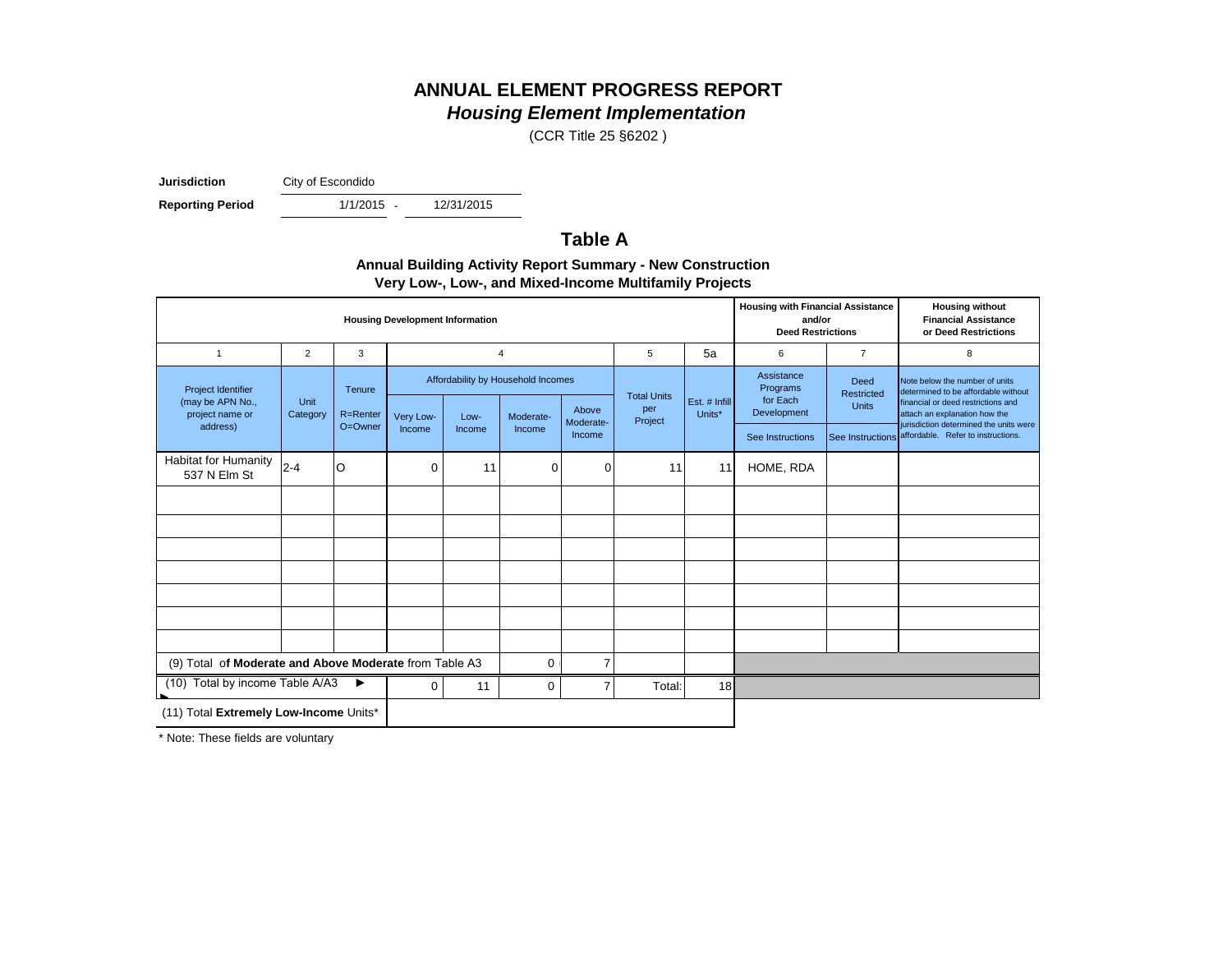# **ANNUAL ELEMENT PROGRESS REPORT**

# *Housing Element Implementation*

(CCR Title 25 §6202 )

**Jurisdiction** City of Escondido

**Reporting Period** 

 $1/1/2015 -$ 

12/31/2015

### **Table A**

| <b>Annual Building Activity Report Summary - New Construction</b> |
|-------------------------------------------------------------------|
| Very Low-, Low-, and Mixed-Income Multifamily Projects            |

| <b>Housing Development Information</b>                                           |                  |                    |           |        |                                                 |                    |                                      |                         | <b>Housing with Financial Assistance</b><br>and/or<br><b>Deed Restrictions</b> |                                    | <b>Housing without</b><br><b>Financial Assistance</b><br>or Deed Restrictions                                                                |
|----------------------------------------------------------------------------------|------------------|--------------------|-----------|--------|-------------------------------------------------|--------------------|--------------------------------------|-------------------------|--------------------------------------------------------------------------------|------------------------------------|----------------------------------------------------------------------------------------------------------------------------------------------|
| $\overline{1}$                                                                   | $\overline{2}$   | 3                  |           |        | $\overline{4}$                                  |                    | 5                                    | 5a                      | 6                                                                              | $\overline{7}$                     | 8                                                                                                                                            |
| Project Identifier<br>(may be APN No.,<br>project name or                        | Unit<br>Category | Tenure<br>R=Renter | Very Low- | Low-   | Affordability by Household Incomes<br>Moderate- | Above<br>Moderate- | <b>Total Units</b><br>per<br>Project | Est. # Infill<br>Units* | Assistance<br>Programs<br>for Each<br>Development                              | Deed<br>Restricted<br><b>Units</b> | Note below the number of units<br>determined to be affordable without<br>financial or deed restrictions and<br>attach an explanation how the |
| address)                                                                         |                  | O=Owner            | Income    | Income | Income                                          | Income             |                                      |                         | See Instructions                                                               |                                    | jurisdiction determined the units were<br>See Instructions affordable. Refer to instructions.                                                |
| <b>Habitat for Humanity</b><br>537 N Elm St                                      | $ 2 - 4 $        | ΙO                 | 0         | 11     | 0                                               | 0                  | 11                                   | 11                      | HOME, RDA                                                                      |                                    |                                                                                                                                              |
|                                                                                  |                  |                    |           |        |                                                 |                    |                                      |                         |                                                                                |                                    |                                                                                                                                              |
|                                                                                  |                  |                    |           |        |                                                 |                    |                                      |                         |                                                                                |                                    |                                                                                                                                              |
|                                                                                  |                  |                    |           |        |                                                 |                    |                                      |                         |                                                                                |                                    |                                                                                                                                              |
|                                                                                  |                  |                    |           |        |                                                 |                    |                                      |                         |                                                                                |                                    |                                                                                                                                              |
|                                                                                  |                  |                    |           |        |                                                 |                    |                                      |                         |                                                                                |                                    |                                                                                                                                              |
|                                                                                  |                  |                    |           |        |                                                 |                    |                                      |                         |                                                                                |                                    |                                                                                                                                              |
|                                                                                  |                  |                    |           |        |                                                 |                    |                                      |                         |                                                                                |                                    |                                                                                                                                              |
| (9) Total of Moderate and Above Moderate from Table A3<br>$\mathbf 0$            |                  |                    |           |        | $\overline{7}$                                  |                    |                                      |                         |                                                                                |                                    |                                                                                                                                              |
| (10) Total by income Table A/A3<br>▶<br>$\overline{7}$<br>11<br>$\mathbf 0$<br>0 |                  |                    |           | Total: | 18                                              |                    |                                      |                         |                                                                                |                                    |                                                                                                                                              |
| (11) Total Extremely Low-Income Units*                                           |                  |                    |           |        |                                                 |                    |                                      |                         |                                                                                |                                    |                                                                                                                                              |

\* Note: These fields are voluntary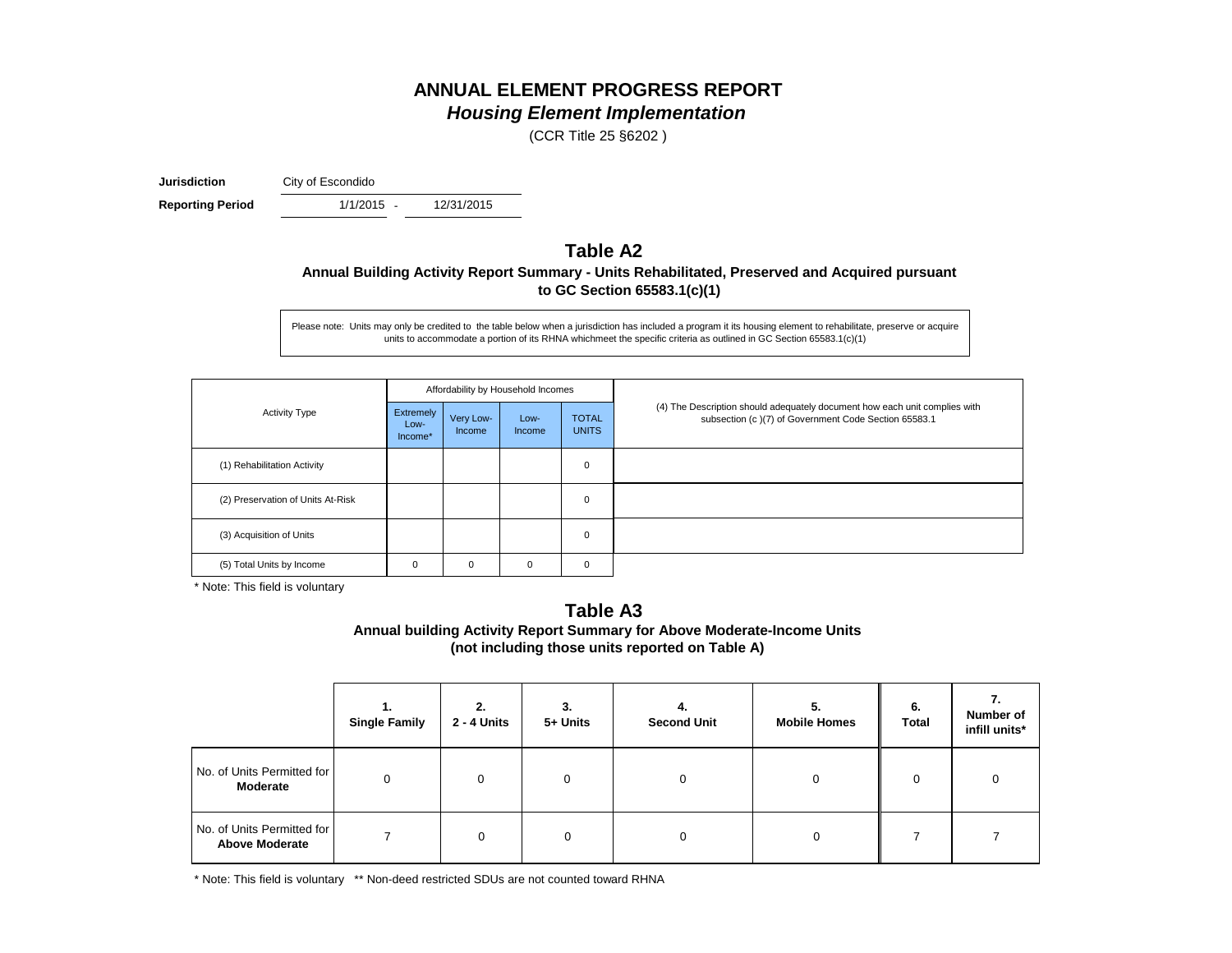### **ANNUAL ELEMENT PROGRESS REPORT** *Housing Element Implementation*

(CCR Title 25 §6202 )

**Jurisdiction** City of Escondido

1/1/2015 -**Reporting Period** 1/1/2015 - 12/31/2015

### **Table A2 Annual Building Activity Report Summary - Units Rehabilitated, Preserved and Acquired pursuant to GC Section 65583.1(c)(1)**

Please note: Units may only be credited to the table below when a jurisdiction has included a program it its housing element to rehabilitate, preserve or acquire units to accommodate a portion of its RHNA whichmeet the specific criteria as outlined in GC Section 65583.1(c)(1)

|                                   |                                     |                     | Affordability by Household Incomes |                              |                                                                                                                                    |
|-----------------------------------|-------------------------------------|---------------------|------------------------------------|------------------------------|------------------------------------------------------------------------------------------------------------------------------------|
| <b>Activity Type</b>              | <b>Extremely</b><br>Low-<br>Income* | Very Low-<br>Income | Low-<br><b>Income</b>              | <b>TOTAL</b><br><b>UNITS</b> | (4) The Description should adequately document how each unit complies with<br>subsection (c)(7) of Government Code Section 65583.1 |
| (1) Rehabilitation Activity       |                                     |                     |                                    | $\mathbf 0$                  |                                                                                                                                    |
| (2) Preservation of Units At-Risk |                                     |                     |                                    | $\mathbf 0$                  |                                                                                                                                    |
| (3) Acquisition of Units          |                                     |                     |                                    | $\mathbf 0$                  |                                                                                                                                    |
| (5) Total Units by Income         | 0                                   | 0                   | 0                                  | 0                            |                                                                                                                                    |

\* Note: This field is voluntary

#### **Annual building Activity Report Summary for Above Moderate-Income Units (not including those units reported on Table A) Table A3**

|                                                     | <b>Single Family</b> | 2.<br>2 - 4 Units | 3.<br>5+ Units | 4.<br><b>Second Unit</b> | 5.<br><b>Mobile Homes</b> | 6.<br>Total | <br>Number of<br>infill units* |
|-----------------------------------------------------|----------------------|-------------------|----------------|--------------------------|---------------------------|-------------|--------------------------------|
| No. of Units Permitted for<br>Moderate              |                      | $\Omega$          | $\Omega$       | 0                        |                           | $\mathbf 0$ | $\Omega$                       |
| No. of Units Permitted for<br><b>Above Moderate</b> |                      | $\Omega$          |                | 0                        |                           |             |                                |

\* Note: This field is voluntary \*\* Non-deed restricted SDUs are not counted toward RHNA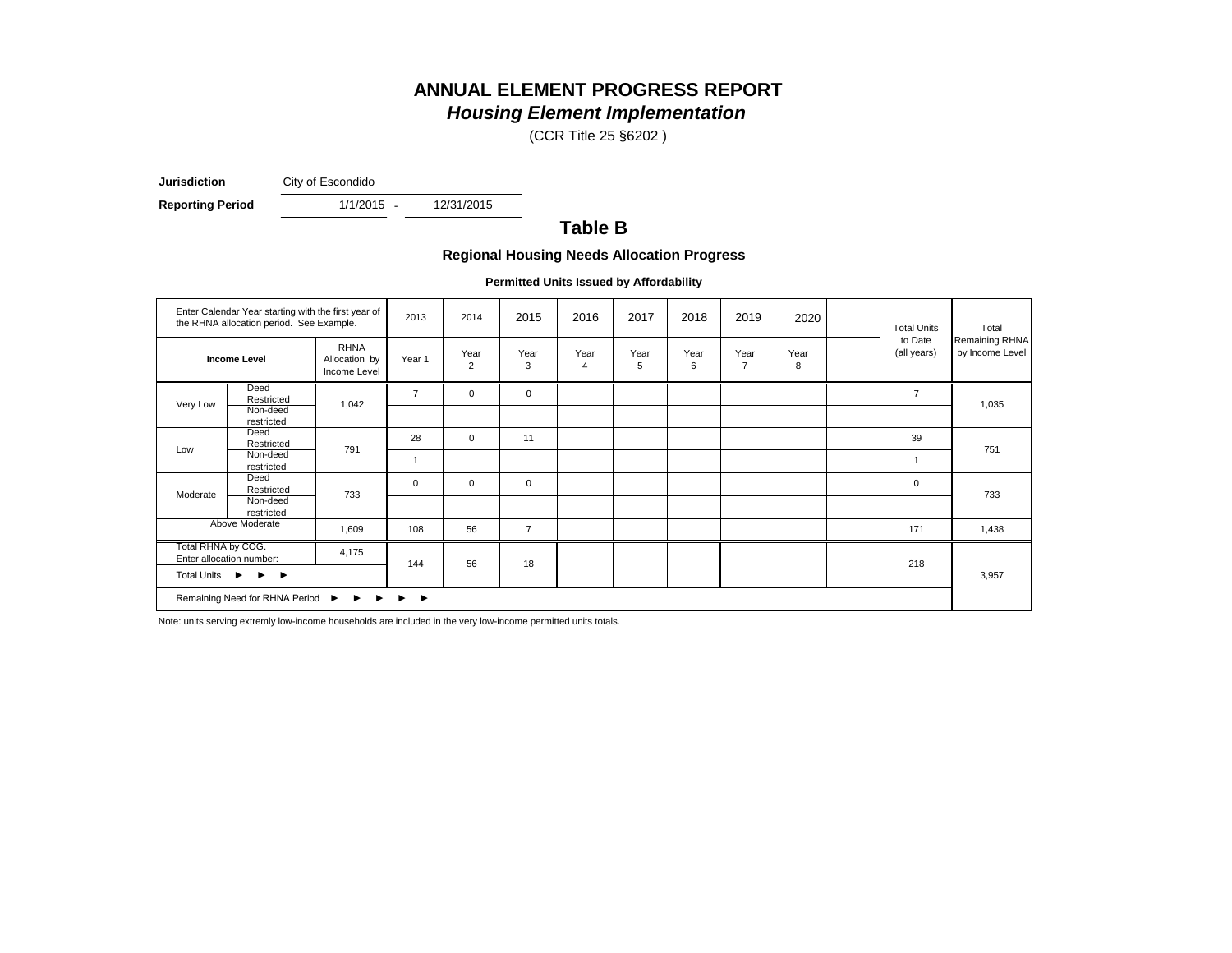# **ANNUAL ELEMENT PROGRESS REPORT**

# *Housing Element Implementation*

(CCR Title 25 §6202 )

**Jurisdiction** City of Escondido

**Reporting Period** 1/1/2015 - 12/31/2015

 $1/1/2015 -$ 

### **Table B**

#### **Regional Housing Needs Allocation Progress**

**Permitted Units Issued by Affordability**

|                                                                    | Enter Calendar Year starting with the first year of<br>the RHNA allocation period. See Example. |                                              | 2013           | 2014                   | 2015           | 2016      | 2017      | 2018      | 2019                   | 2020      | <b>Total Units</b>     | Total                             |
|--------------------------------------------------------------------|-------------------------------------------------------------------------------------------------|----------------------------------------------|----------------|------------------------|----------------|-----------|-----------|-----------|------------------------|-----------|------------------------|-----------------------------------|
|                                                                    | <b>Income Level</b>                                                                             | <b>RHNA</b><br>Allocation by<br>Income Level | Year 1         | Year<br>$\overline{2}$ | Year<br>3      | Year<br>4 | Year<br>5 | Year<br>6 | Year<br>$\overline{7}$ | Year<br>8 | to Date<br>(all years) | Remaining RHNA<br>by Income Level |
| Very Low                                                           | Deed<br>Restricted                                                                              | 1,042                                        | $\overline{7}$ | $\mathbf 0$            | $\mathbf 0$    |           |           |           |                        |           | $\overline{7}$         | 1,035                             |
|                                                                    | Non-deed<br>restricted                                                                          |                                              |                |                        |                |           |           |           |                        |           |                        |                                   |
| Low                                                                | Deed<br>Restricted                                                                              | 791                                          | 28             | $\mathbf 0$            | 11             |           |           |           |                        |           | 39                     | 751                               |
|                                                                    | Non-deed<br>restricted                                                                          |                                              |                |                        |                |           |           |           |                        |           |                        |                                   |
| Moderate                                                           | Deed<br>Restricted                                                                              | 733                                          | $\mathbf 0$    | $\mathbf 0$            | $\mathbf 0$    |           |           |           |                        |           | $\mathbf 0$            | 733                               |
|                                                                    | Non-deed<br>restricted                                                                          |                                              |                |                        |                |           |           |           |                        |           |                        |                                   |
|                                                                    | Above Moderate                                                                                  | 1,609                                        | 108            | 56                     | $\overline{7}$ |           |           |           |                        |           | 171                    | 1,438                             |
| Total RHNA by COG.                                                 | Enter allocation number:                                                                        | 4,175                                        | 144            | 56                     | 18             |           |           |           |                        |           | 218                    |                                   |
| Total Units $\triangleright$ $\triangleright$ $\triangleright$     |                                                                                                 |                                              |                |                        |                |           |           |           |                        |           |                        | 3,957                             |
| Remaining Need for RHNA Period ▶ ▶ ▶<br>$\blacktriangleright$<br>▸ |                                                                                                 |                                              |                |                        |                |           |           |           |                        |           |                        |                                   |

Note: units serving extremly low-income households are included in the very low-income permitted units totals.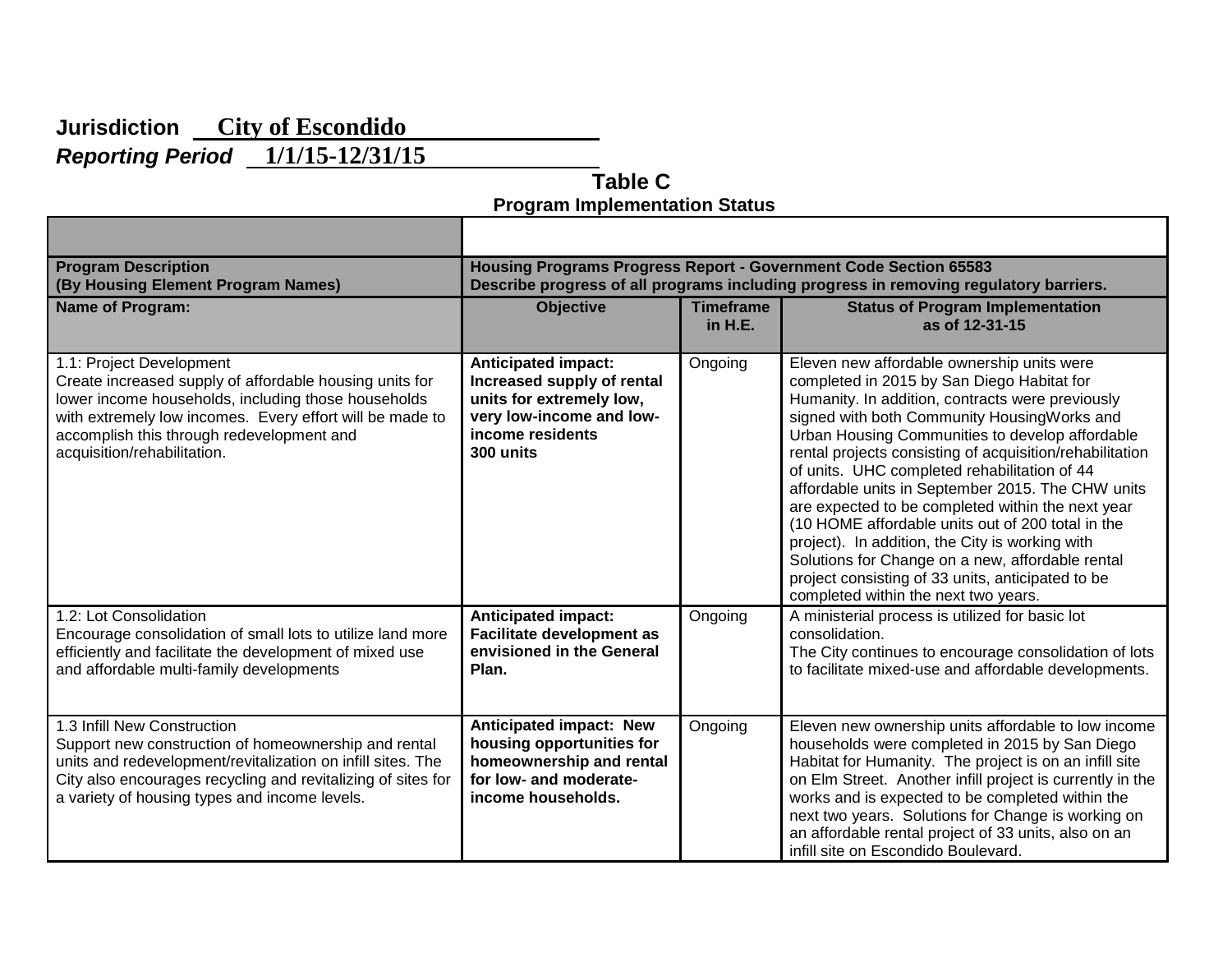# **Jurisdiction City of Escondido**

*Reporting Period* **1/1/15-12/31/15** 

 **Table C Program Implementation Status**

| <b>Program Description</b><br>(By Housing Element Program Names)                                                                                                                                                                                                                   | Housing Programs Progress Report - Government Code Section 65583<br>Describe progress of all programs including progress in removing regulatory barriers. |                             |                                                                                                                                                                                                                                                                                                                                                                                                                                                                                                                                                                                                                                                                                                                               |  |  |  |  |
|------------------------------------------------------------------------------------------------------------------------------------------------------------------------------------------------------------------------------------------------------------------------------------|-----------------------------------------------------------------------------------------------------------------------------------------------------------|-----------------------------|-------------------------------------------------------------------------------------------------------------------------------------------------------------------------------------------------------------------------------------------------------------------------------------------------------------------------------------------------------------------------------------------------------------------------------------------------------------------------------------------------------------------------------------------------------------------------------------------------------------------------------------------------------------------------------------------------------------------------------|--|--|--|--|
| <b>Name of Program:</b>                                                                                                                                                                                                                                                            | <b>Objective</b>                                                                                                                                          | <b>Timeframe</b><br>in H.E. | <b>Status of Program Implementation</b><br>as of 12-31-15                                                                                                                                                                                                                                                                                                                                                                                                                                                                                                                                                                                                                                                                     |  |  |  |  |
| 1.1: Project Development<br>Create increased supply of affordable housing units for<br>lower income households, including those households<br>with extremely low incomes. Every effort will be made to<br>accomplish this through redevelopment and<br>acquisition/rehabilitation. | <b>Anticipated impact:</b><br>Increased supply of rental<br>units for extremely low,<br>very low-income and low-<br>income residents<br>300 units         | Ongoing                     | Eleven new affordable ownership units were<br>completed in 2015 by San Diego Habitat for<br>Humanity. In addition, contracts were previously<br>signed with both Community HousingWorks and<br>Urban Housing Communities to develop affordable<br>rental projects consisting of acquisition/rehabilitation<br>of units. UHC completed rehabilitation of 44<br>affordable units in September 2015. The CHW units<br>are expected to be completed within the next year<br>(10 HOME affordable units out of 200 total in the<br>project). In addition, the City is working with<br>Solutions for Change on a new, affordable rental<br>project consisting of 33 units, anticipated to be<br>completed within the next two years. |  |  |  |  |
| 1.2: Lot Consolidation<br>Encourage consolidation of small lots to utilize land more<br>efficiently and facilitate the development of mixed use<br>and affordable multi-family developments                                                                                        | <b>Anticipated impact:</b><br><b>Facilitate development as</b><br>envisioned in the General<br>Plan.                                                      | Ongoing                     | A ministerial process is utilized for basic lot<br>consolidation.<br>The City continues to encourage consolidation of lots<br>to facilitate mixed-use and affordable developments.                                                                                                                                                                                                                                                                                                                                                                                                                                                                                                                                            |  |  |  |  |
| 1.3 Infill New Construction<br>Support new construction of homeownership and rental<br>units and redevelopment/revitalization on infill sites. The<br>City also encourages recycling and revitalizing of sites for<br>a variety of housing types and income levels.                | <b>Anticipated impact: New</b><br>housing opportunities for<br>homeownership and rental<br>for low- and moderate-<br>income households.                   | Ongoing                     | Eleven new ownership units affordable to low income<br>households were completed in 2015 by San Diego<br>Habitat for Humanity. The project is on an infill site<br>on Elm Street. Another infill project is currently in the<br>works and is expected to be completed within the<br>next two years. Solutions for Change is working on<br>an affordable rental project of 33 units, also on an<br>infill site on Escondido Boulevard.                                                                                                                                                                                                                                                                                         |  |  |  |  |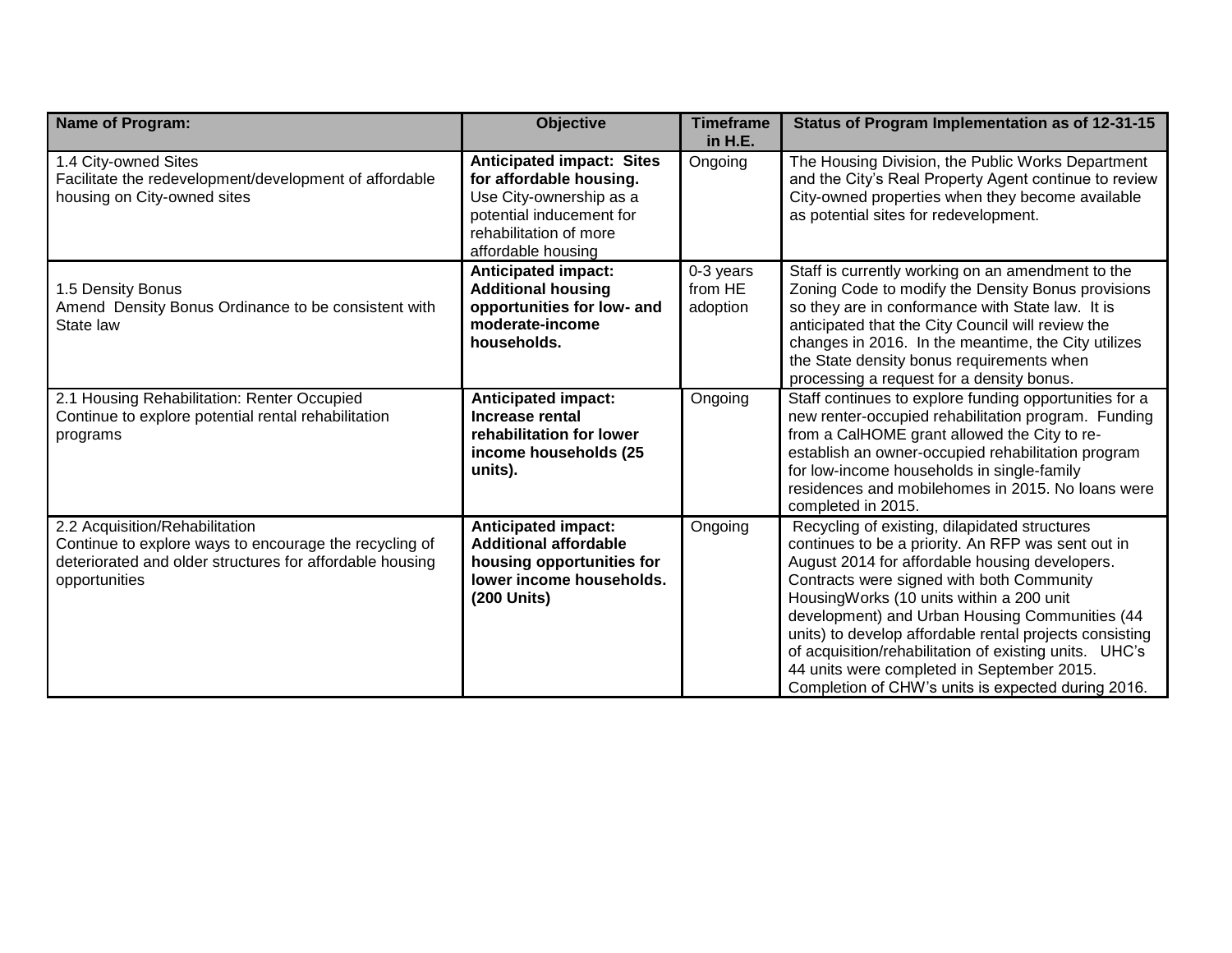| <b>Name of Program:</b>                                                                                                                                               | <b>Objective</b>                                                                                                                                                   | <b>Timeframe</b><br>in H.E.      | Status of Program Implementation as of 12-31-15                                                                                                                                                                                                                                                                                                                                                                                                                                                                           |
|-----------------------------------------------------------------------------------------------------------------------------------------------------------------------|--------------------------------------------------------------------------------------------------------------------------------------------------------------------|----------------------------------|---------------------------------------------------------------------------------------------------------------------------------------------------------------------------------------------------------------------------------------------------------------------------------------------------------------------------------------------------------------------------------------------------------------------------------------------------------------------------------------------------------------------------|
| 1.4 City-owned Sites<br>Facilitate the redevelopment/development of affordable<br>housing on City-owned sites                                                         | <b>Anticipated impact: Sites</b><br>for affordable housing.<br>Use City-ownership as a<br>potential inducement for<br>rehabilitation of more<br>affordable housing | Ongoing                          | The Housing Division, the Public Works Department<br>and the City's Real Property Agent continue to review<br>City-owned properties when they become available<br>as potential sites for redevelopment.                                                                                                                                                                                                                                                                                                                   |
| 1.5 Density Bonus<br>Amend Density Bonus Ordinance to be consistent with<br>State law                                                                                 | <b>Anticipated impact:</b><br><b>Additional housing</b><br>opportunities for low- and<br>moderate-income<br>households.                                            | 0-3 years<br>from HE<br>adoption | Staff is currently working on an amendment to the<br>Zoning Code to modify the Density Bonus provisions<br>so they are in conformance with State law. It is<br>anticipated that the City Council will review the<br>changes in 2016. In the meantime, the City utilizes<br>the State density bonus requirements when<br>processing a request for a density bonus.                                                                                                                                                         |
| 2.1 Housing Rehabilitation: Renter Occupied<br>Continue to explore potential rental rehabilitation<br>programs                                                        | <b>Anticipated impact:</b><br>Increase rental<br>rehabilitation for lower<br>income households (25<br>units).                                                      | Ongoing                          | Staff continues to explore funding opportunities for a<br>new renter-occupied rehabilitation program. Funding<br>from a CalHOME grant allowed the City to re-<br>establish an owner-occupied rehabilitation program<br>for low-income households in single-family<br>residences and mobilehomes in 2015. No loans were<br>completed in 2015.                                                                                                                                                                              |
| 2.2 Acquisition/Rehabilitation<br>Continue to explore ways to encourage the recycling of<br>deteriorated and older structures for affordable housing<br>opportunities | <b>Anticipated impact:</b><br><b>Additional affordable</b><br>housing opportunities for<br>lower income households.<br>(200 Units)                                 | Ongoing                          | Recycling of existing, dilapidated structures<br>continues to be a priority. An RFP was sent out in<br>August 2014 for affordable housing developers.<br>Contracts were signed with both Community<br>HousingWorks (10 units within a 200 unit<br>development) and Urban Housing Communities (44<br>units) to develop affordable rental projects consisting<br>of acquisition/rehabilitation of existing units. UHC's<br>44 units were completed in September 2015.<br>Completion of CHW's units is expected during 2016. |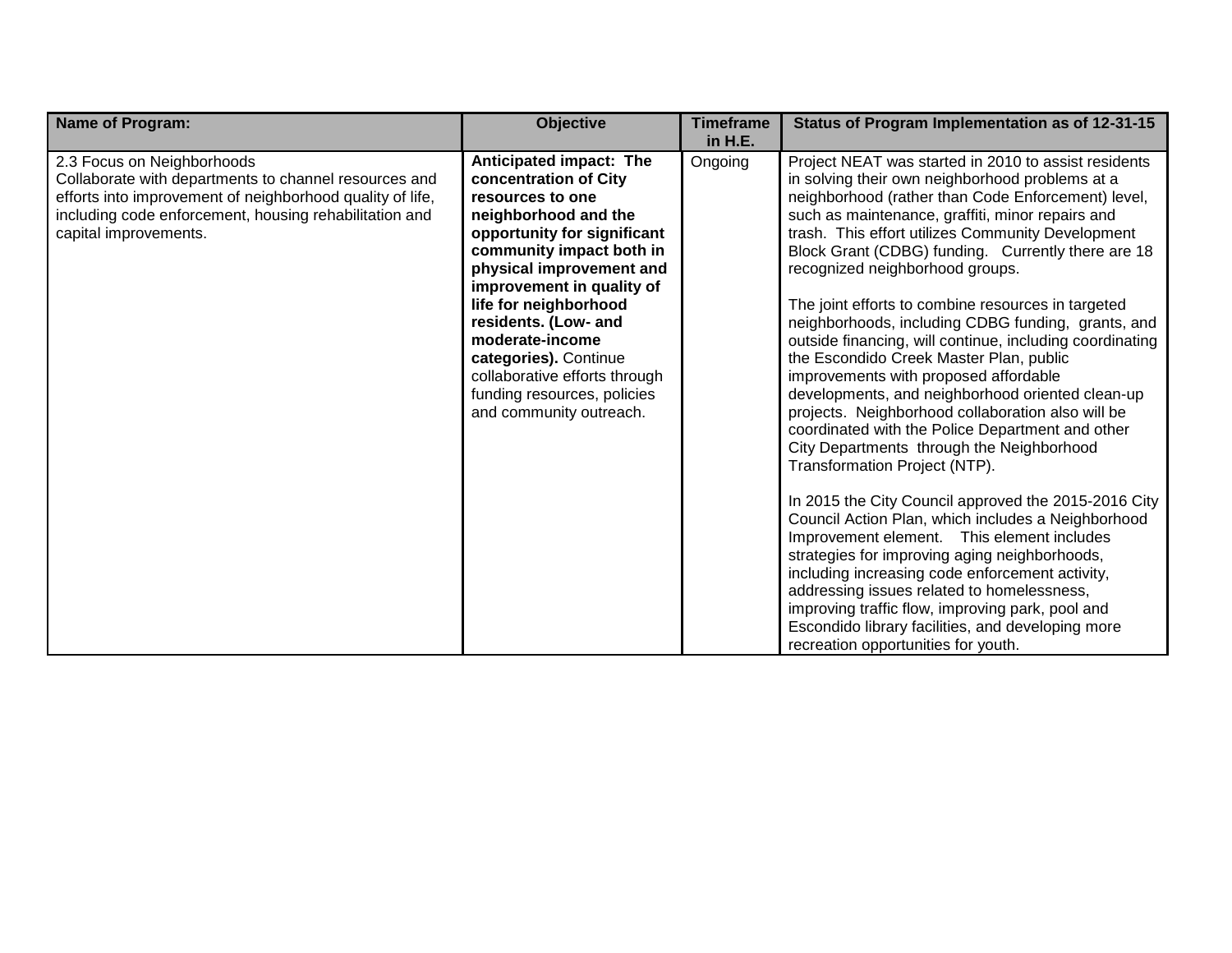| <b>Name of Program:</b>                                                                                                                                                                                                             | <b>Objective</b>                                                                                                                                                                                                                                                                                                                                                                                         | <b>Timeframe</b><br>in H.E. | Status of Program Implementation as of 12-31-15                                                                                                                                                                                                                                                                                                                                                                                                                                                                                                                                                                                                                                                                                                                                                                                                                                                                                                                                                                                                                                                                                                                                                                                                                                                                                      |
|-------------------------------------------------------------------------------------------------------------------------------------------------------------------------------------------------------------------------------------|----------------------------------------------------------------------------------------------------------------------------------------------------------------------------------------------------------------------------------------------------------------------------------------------------------------------------------------------------------------------------------------------------------|-----------------------------|--------------------------------------------------------------------------------------------------------------------------------------------------------------------------------------------------------------------------------------------------------------------------------------------------------------------------------------------------------------------------------------------------------------------------------------------------------------------------------------------------------------------------------------------------------------------------------------------------------------------------------------------------------------------------------------------------------------------------------------------------------------------------------------------------------------------------------------------------------------------------------------------------------------------------------------------------------------------------------------------------------------------------------------------------------------------------------------------------------------------------------------------------------------------------------------------------------------------------------------------------------------------------------------------------------------------------------------|
| 2.3 Focus on Neighborhoods<br>Collaborate with departments to channel resources and<br>efforts into improvement of neighborhood quality of life,<br>including code enforcement, housing rehabilitation and<br>capital improvements. | Anticipated impact: The<br>concentration of City<br>resources to one<br>neighborhood and the<br>opportunity for significant<br>community impact both in<br>physical improvement and<br>improvement in quality of<br>life for neighborhood<br>residents. (Low- and<br>moderate-income<br>categories). Continue<br>collaborative efforts through<br>funding resources, policies<br>and community outreach. | Ongoing                     | Project NEAT was started in 2010 to assist residents<br>in solving their own neighborhood problems at a<br>neighborhood (rather than Code Enforcement) level,<br>such as maintenance, graffiti, minor repairs and<br>trash. This effort utilizes Community Development<br>Block Grant (CDBG) funding. Currently there are 18<br>recognized neighborhood groups.<br>The joint efforts to combine resources in targeted<br>neighborhoods, including CDBG funding, grants, and<br>outside financing, will continue, including coordinating<br>the Escondido Creek Master Plan, public<br>improvements with proposed affordable<br>developments, and neighborhood oriented clean-up<br>projects. Neighborhood collaboration also will be<br>coordinated with the Police Department and other<br>City Departments through the Neighborhood<br>Transformation Project (NTP).<br>In 2015 the City Council approved the 2015-2016 City<br>Council Action Plan, which includes a Neighborhood<br>Improvement element. This element includes<br>strategies for improving aging neighborhoods,<br>including increasing code enforcement activity,<br>addressing issues related to homelessness,<br>improving traffic flow, improving park, pool and<br>Escondido library facilities, and developing more<br>recreation opportunities for youth. |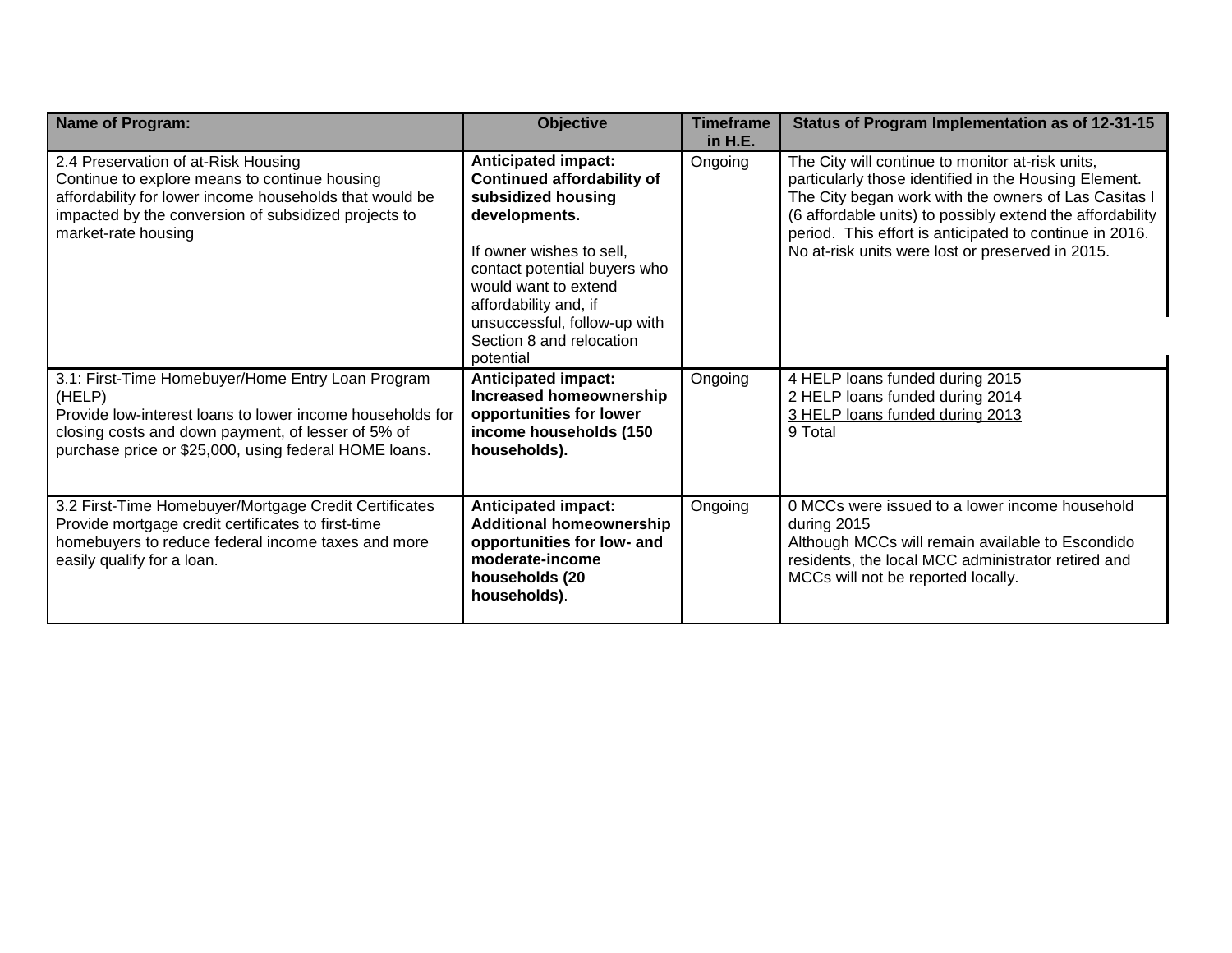| <b>Name of Program:</b>                                                                                                                                                                                                                 | <b>Objective</b>                                                                                                                                                                                                                                                                             | <b>Timeframe</b><br>in H.E. | Status of Program Implementation as of 12-31-15                                                                                                                                                                                                                                                                                               |
|-----------------------------------------------------------------------------------------------------------------------------------------------------------------------------------------------------------------------------------------|----------------------------------------------------------------------------------------------------------------------------------------------------------------------------------------------------------------------------------------------------------------------------------------------|-----------------------------|-----------------------------------------------------------------------------------------------------------------------------------------------------------------------------------------------------------------------------------------------------------------------------------------------------------------------------------------------|
| 2.4 Preservation of at-Risk Housing<br>Continue to explore means to continue housing<br>affordability for lower income households that would be<br>impacted by the conversion of subsidized projects to<br>market-rate housing          | <b>Anticipated impact:</b><br><b>Continued affordability of</b><br>subsidized housing<br>developments.<br>If owner wishes to sell,<br>contact potential buyers who<br>would want to extend<br>affordability and, if<br>unsuccessful, follow-up with<br>Section 8 and relocation<br>potential | Ongoing                     | The City will continue to monitor at-risk units,<br>particularly those identified in the Housing Element.<br>The City began work with the owners of Las Casitas I<br>(6 affordable units) to possibly extend the affordability<br>period. This effort is anticipated to continue in 2016.<br>No at-risk units were lost or preserved in 2015. |
| 3.1: First-Time Homebuyer/Home Entry Loan Program<br>(HELP)<br>Provide low-interest loans to lower income households for<br>closing costs and down payment, of lesser of 5% of<br>purchase price or \$25,000, using federal HOME loans. | <b>Anticipated impact:</b><br><b>Increased homeownership</b><br>opportunities for lower<br>income households (150<br>households).                                                                                                                                                            | Ongoing                     | 4 HELP loans funded during 2015<br>2 HELP loans funded during 2014<br>3 HELP loans funded during 2013<br>9 Total                                                                                                                                                                                                                              |
| 3.2 First-Time Homebuyer/Mortgage Credit Certificates<br>Provide mortgage credit certificates to first-time<br>homebuyers to reduce federal income taxes and more<br>easily qualify for a loan.                                         | <b>Anticipated impact:</b><br><b>Additional homeownership</b><br>opportunities for low- and<br>moderate-income<br>households (20<br>households).                                                                                                                                             | Ongoing                     | 0 MCCs were issued to a lower income household<br>during 2015<br>Although MCCs will remain available to Escondido<br>residents, the local MCC administrator retired and<br>MCCs will not be reported locally.                                                                                                                                 |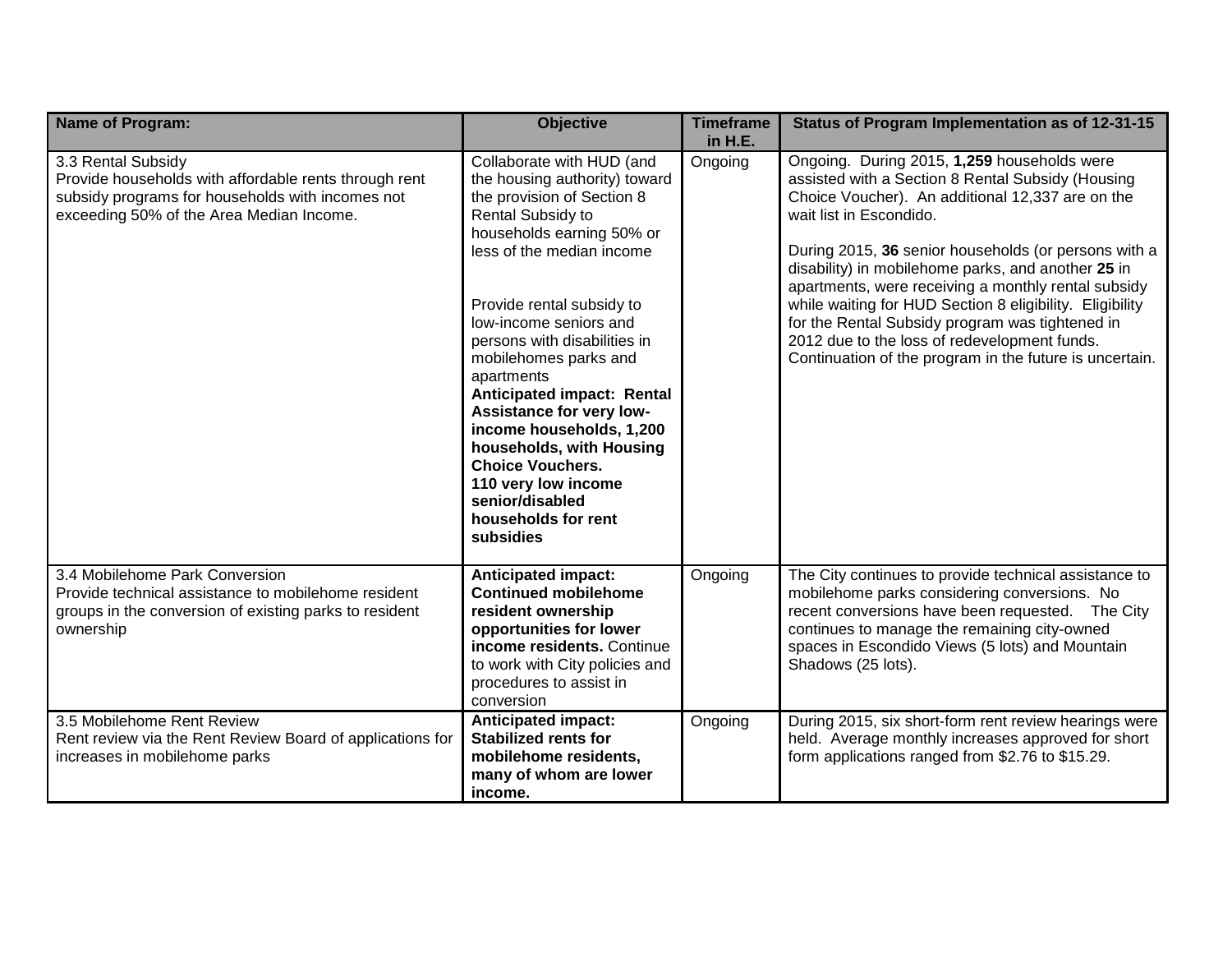| <b>Name of Program:</b>                                                                                                                                                     | <b>Objective</b>                                                                                                                                                                                                                                                                                                                                                                                                                                                                                                                 | <b>Timeframe</b><br>in H.E. | Status of Program Implementation as of 12-31-15                                                                                                                                                                                                                                                                                                                                                                                                                                                                                                                                |
|-----------------------------------------------------------------------------------------------------------------------------------------------------------------------------|----------------------------------------------------------------------------------------------------------------------------------------------------------------------------------------------------------------------------------------------------------------------------------------------------------------------------------------------------------------------------------------------------------------------------------------------------------------------------------------------------------------------------------|-----------------------------|--------------------------------------------------------------------------------------------------------------------------------------------------------------------------------------------------------------------------------------------------------------------------------------------------------------------------------------------------------------------------------------------------------------------------------------------------------------------------------------------------------------------------------------------------------------------------------|
| 3.3 Rental Subsidy<br>Provide households with affordable rents through rent<br>subsidy programs for households with incomes not<br>exceeding 50% of the Area Median Income. | Collaborate with HUD (and<br>the housing authority) toward<br>the provision of Section 8<br>Rental Subsidy to<br>households earning 50% or<br>less of the median income<br>Provide rental subsidy to<br>low-income seniors and<br>persons with disabilities in<br>mobilehomes parks and<br>apartments<br>Anticipated impact: Rental<br>Assistance for very low-<br>income households, 1,200<br>households, with Housing<br><b>Choice Vouchers.</b><br>110 very low income<br>senior/disabled<br>households for rent<br>subsidies | Ongoing                     | Ongoing. During 2015, 1,259 households were<br>assisted with a Section 8 Rental Subsidy (Housing<br>Choice Voucher). An additional 12,337 are on the<br>wait list in Escondido.<br>During 2015, 36 senior households (or persons with a<br>disability) in mobilehome parks, and another 25 in<br>apartments, were receiving a monthly rental subsidy<br>while waiting for HUD Section 8 eligibility. Eligibility<br>for the Rental Subsidy program was tightened in<br>2012 due to the loss of redevelopment funds.<br>Continuation of the program in the future is uncertain. |
| 3.4 Mobilehome Park Conversion<br>Provide technical assistance to mobilehome resident<br>groups in the conversion of existing parks to resident<br>ownership                | <b>Anticipated impact:</b><br><b>Continued mobilehome</b><br>resident ownership<br>opportunities for lower<br>income residents. Continue<br>to work with City policies and<br>procedures to assist in<br>conversion                                                                                                                                                                                                                                                                                                              | Ongoing                     | The City continues to provide technical assistance to<br>mobilehome parks considering conversions. No<br>recent conversions have been requested. The City<br>continues to manage the remaining city-owned<br>spaces in Escondido Views (5 lots) and Mountain<br>Shadows (25 lots).                                                                                                                                                                                                                                                                                             |
| 3.5 Mobilehome Rent Review<br>Rent review via the Rent Review Board of applications for<br>increases in mobilehome parks                                                    | <b>Anticipated impact:</b><br><b>Stabilized rents for</b><br>mobilehome residents,<br>many of whom are lower<br>income.                                                                                                                                                                                                                                                                                                                                                                                                          | Ongoing                     | During 2015, six short-form rent review hearings were<br>held. Average monthly increases approved for short<br>form applications ranged from \$2.76 to \$15.29.                                                                                                                                                                                                                                                                                                                                                                                                                |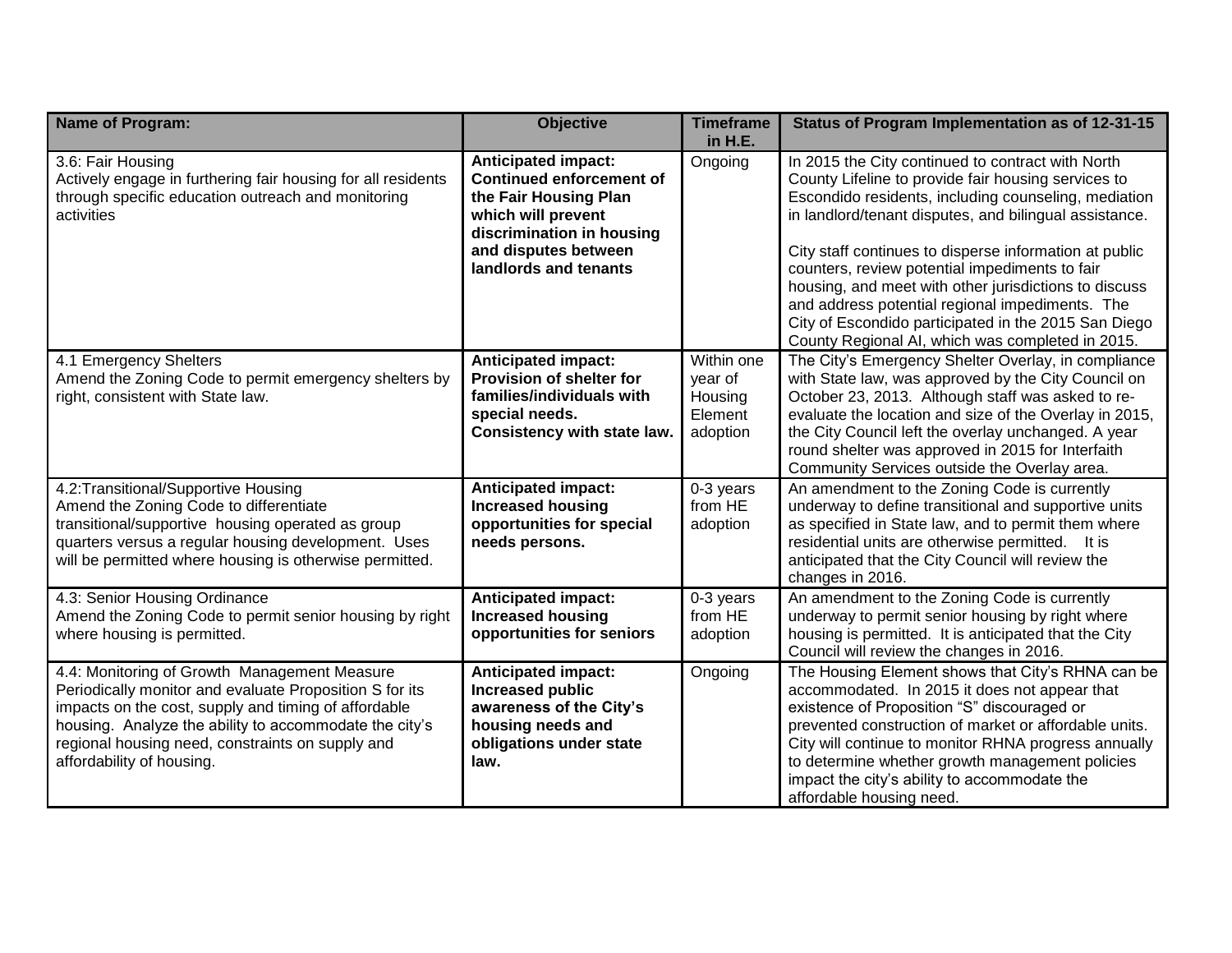| <b>Name of Program:</b>                                                                                                                                                                                                                                                                                    | <b>Objective</b>                                                                                                                                                                           | <b>Timeframe</b><br>in H.E.                             | Status of Program Implementation as of 12-31-15                                                                                                                                                                                                                                                                                                                                                                                                                                                                                                                |
|------------------------------------------------------------------------------------------------------------------------------------------------------------------------------------------------------------------------------------------------------------------------------------------------------------|--------------------------------------------------------------------------------------------------------------------------------------------------------------------------------------------|---------------------------------------------------------|----------------------------------------------------------------------------------------------------------------------------------------------------------------------------------------------------------------------------------------------------------------------------------------------------------------------------------------------------------------------------------------------------------------------------------------------------------------------------------------------------------------------------------------------------------------|
| 3.6: Fair Housing<br>Actively engage in furthering fair housing for all residents<br>through specific education outreach and monitoring<br>activities                                                                                                                                                      | <b>Anticipated impact:</b><br><b>Continued enforcement of</b><br>the Fair Housing Plan<br>which will prevent<br>discrimination in housing<br>and disputes between<br>landlords and tenants | Ongoing                                                 | In 2015 the City continued to contract with North<br>County Lifeline to provide fair housing services to<br>Escondido residents, including counseling, mediation<br>in landlord/tenant disputes, and bilingual assistance.<br>City staff continues to disperse information at public<br>counters, review potential impediments to fair<br>housing, and meet with other jurisdictions to discuss<br>and address potential regional impediments. The<br>City of Escondido participated in the 2015 San Diego<br>County Regional AI, which was completed in 2015. |
| 4.1 Emergency Shelters<br>Amend the Zoning Code to permit emergency shelters by<br>right, consistent with State law.                                                                                                                                                                                       | <b>Anticipated impact:</b><br>Provision of shelter for<br>families/individuals with<br>special needs.<br>Consistency with state law.                                                       | Within one<br>year of<br>Housing<br>Element<br>adoption | The City's Emergency Shelter Overlay, in compliance<br>with State law, was approved by the City Council on<br>October 23, 2013. Although staff was asked to re-<br>evaluate the location and size of the Overlay in 2015,<br>the City Council left the overlay unchanged. A year<br>round shelter was approved in 2015 for Interfaith<br>Community Services outside the Overlay area.                                                                                                                                                                          |
| 4.2: Transitional/Supportive Housing<br>Amend the Zoning Code to differentiate<br>transitional/supportive housing operated as group<br>quarters versus a regular housing development. Uses<br>will be permitted where housing is otherwise permitted.                                                      | <b>Anticipated impact:</b><br><b>Increased housing</b><br>opportunities for special<br>needs persons.                                                                                      | 0-3 years<br>from HE<br>adoption                        | An amendment to the Zoning Code is currently<br>underway to define transitional and supportive units<br>as specified in State law, and to permit them where<br>residential units are otherwise permitted. It is<br>anticipated that the City Council will review the<br>changes in 2016.                                                                                                                                                                                                                                                                       |
| 4.3: Senior Housing Ordinance<br>Amend the Zoning Code to permit senior housing by right<br>where housing is permitted.                                                                                                                                                                                    | <b>Anticipated impact:</b><br><b>Increased housing</b><br>opportunities for seniors                                                                                                        | 0-3 years<br>from HE<br>adoption                        | An amendment to the Zoning Code is currently<br>underway to permit senior housing by right where<br>housing is permitted. It is anticipated that the City<br>Council will review the changes in 2016.                                                                                                                                                                                                                                                                                                                                                          |
| 4.4: Monitoring of Growth Management Measure<br>Periodically monitor and evaluate Proposition S for its<br>impacts on the cost, supply and timing of affordable<br>housing. Analyze the ability to accommodate the city's<br>regional housing need, constraints on supply and<br>affordability of housing. | <b>Anticipated impact:</b><br><b>Increased public</b><br>awareness of the City's<br>housing needs and<br>obligations under state<br>law.                                                   | Ongoing                                                 | The Housing Element shows that City's RHNA can be<br>accommodated. In 2015 it does not appear that<br>existence of Proposition "S" discouraged or<br>prevented construction of market or affordable units.<br>City will continue to monitor RHNA progress annually<br>to determine whether growth management policies<br>impact the city's ability to accommodate the<br>affordable housing need.                                                                                                                                                              |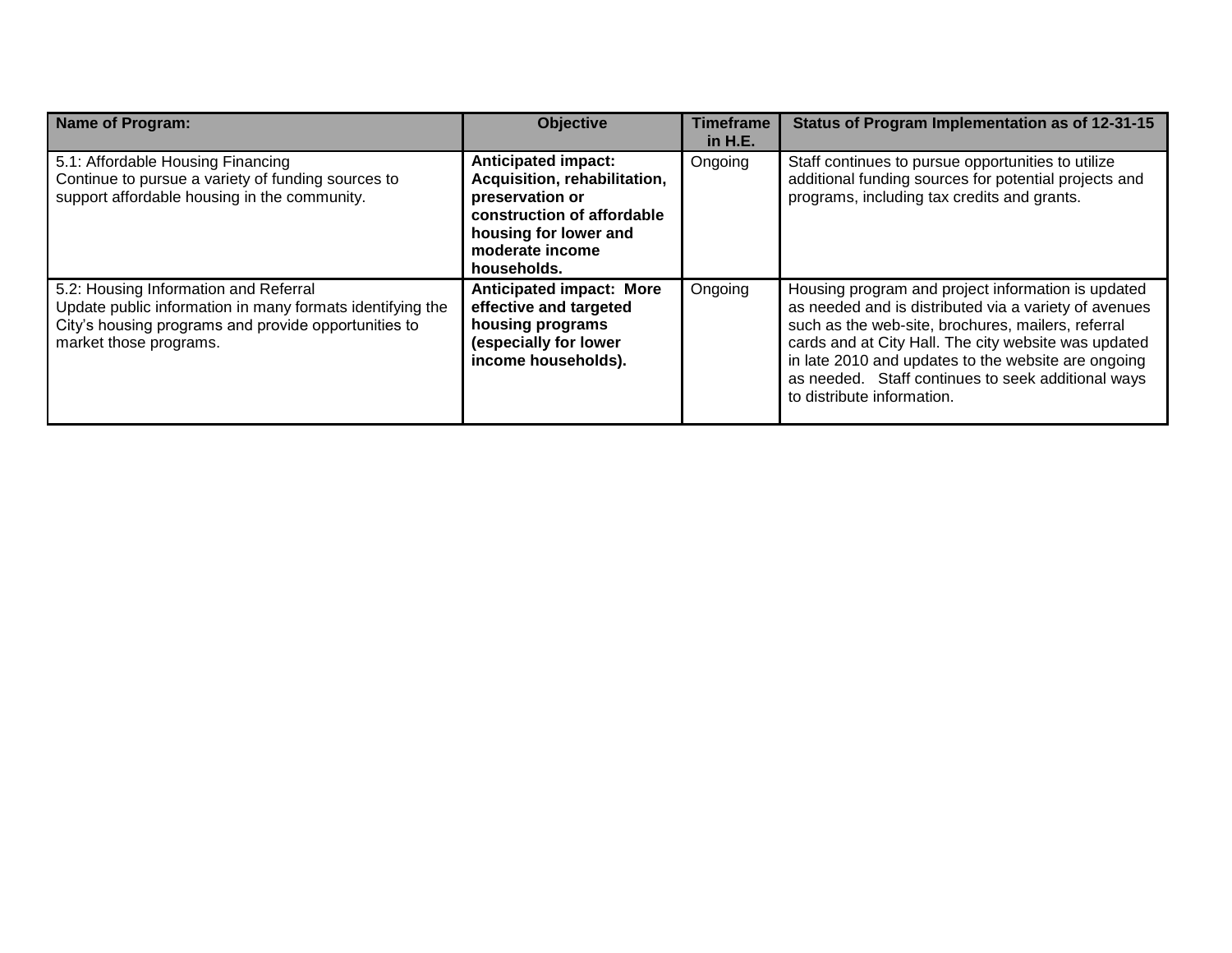| <b>Name of Program:</b>                                                                                                                                                              | <b>Objective</b>                                                                                                                                                       | <b>Timeframe</b><br>in H.E. | Status of Program Implementation as of 12-31-15                                                                                                                                                                                                                                                                                                                      |
|--------------------------------------------------------------------------------------------------------------------------------------------------------------------------------------|------------------------------------------------------------------------------------------------------------------------------------------------------------------------|-----------------------------|----------------------------------------------------------------------------------------------------------------------------------------------------------------------------------------------------------------------------------------------------------------------------------------------------------------------------------------------------------------------|
| 5.1: Affordable Housing Financing<br>Continue to pursue a variety of funding sources to<br>support affordable housing in the community.                                              | <b>Anticipated impact:</b><br>Acquisition, rehabilitation,<br>preservation or<br>construction of affordable<br>housing for lower and<br>moderate income<br>households. | Ongoing                     | Staff continues to pursue opportunities to utilize<br>additional funding sources for potential projects and<br>programs, including tax credits and grants.                                                                                                                                                                                                           |
| 5.2: Housing Information and Referral<br>Update public information in many formats identifying the<br>City's housing programs and provide opportunities to<br>market those programs. | <b>Anticipated impact: More</b><br>effective and targeted<br>housing programs<br>(especially for lower<br>income households).                                          | Ongoing                     | Housing program and project information is updated<br>as needed and is distributed via a variety of avenues<br>such as the web-site, brochures, mailers, referral<br>cards and at City Hall. The city website was updated<br>in late 2010 and updates to the website are ongoing<br>as needed. Staff continues to seek additional ways<br>to distribute information. |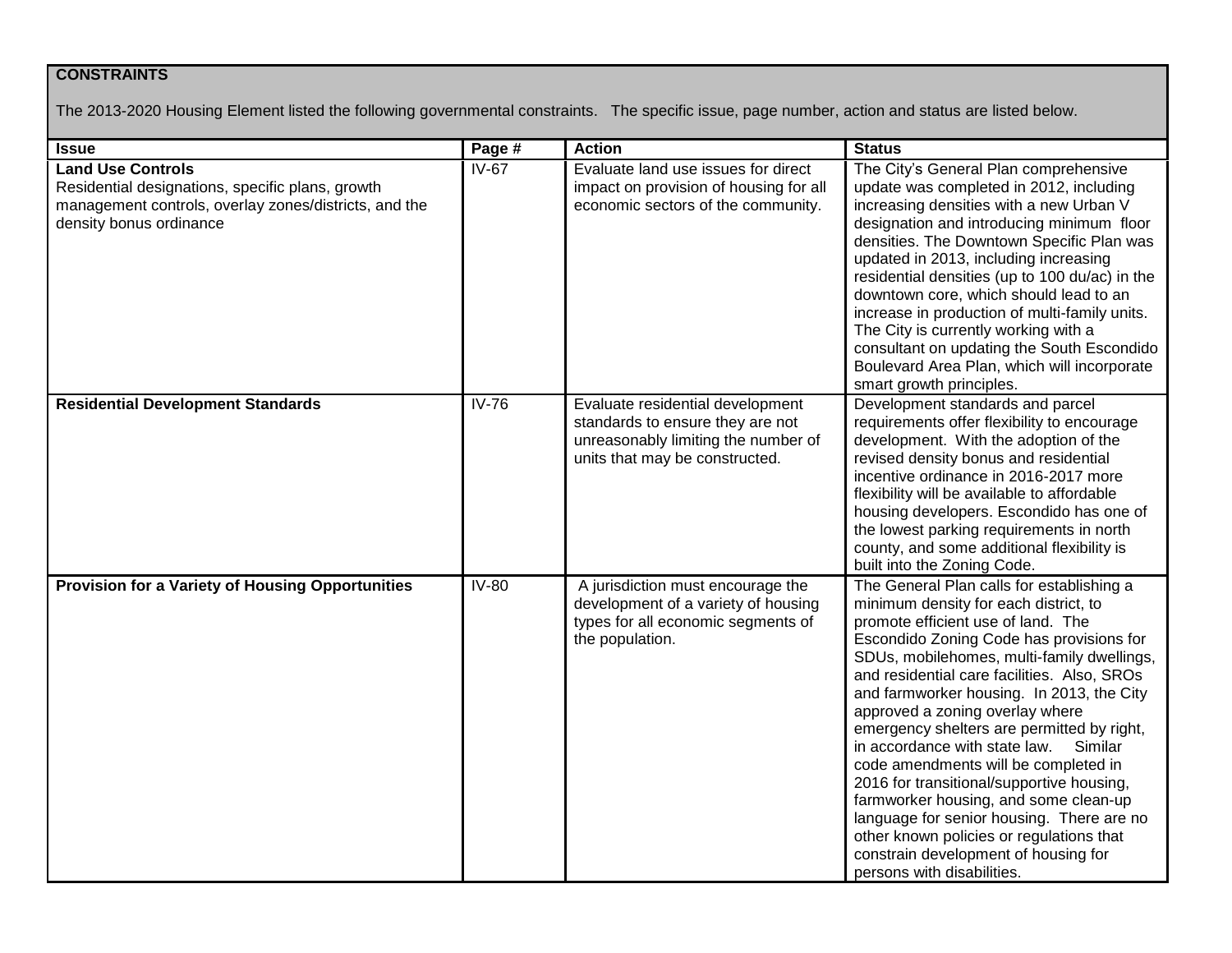### **CONSTRAINTS**

The 2013-2020 Housing Element listed the following governmental constraints. The specific issue, page number, action and status are listed below.

| <b>Issue</b>                                                                                                                                                     | Page #       | <b>Action</b>                                                                                                                                 | <b>Status</b>                                                                                                                                                                                                                                                                                                                                                                                                                                                                                                                                                                                                                                                                                                                            |
|------------------------------------------------------------------------------------------------------------------------------------------------------------------|--------------|-----------------------------------------------------------------------------------------------------------------------------------------------|------------------------------------------------------------------------------------------------------------------------------------------------------------------------------------------------------------------------------------------------------------------------------------------------------------------------------------------------------------------------------------------------------------------------------------------------------------------------------------------------------------------------------------------------------------------------------------------------------------------------------------------------------------------------------------------------------------------------------------------|
| <b>Land Use Controls</b><br>Residential designations, specific plans, growth<br>management controls, overlay zones/districts, and the<br>density bonus ordinance | $IV-67$      | Evaluate land use issues for direct<br>impact on provision of housing for all<br>economic sectors of the community.                           | The City's General Plan comprehensive<br>update was completed in 2012, including<br>increasing densities with a new Urban V<br>designation and introducing minimum floor<br>densities. The Downtown Specific Plan was<br>updated in 2013, including increasing<br>residential densities (up to 100 du/ac) in the<br>downtown core, which should lead to an<br>increase in production of multi-family units.<br>The City is currently working with a<br>consultant on updating the South Escondido<br>Boulevard Area Plan, which will incorporate<br>smart growth principles.                                                                                                                                                             |
| <b>Residential Development Standards</b>                                                                                                                         | <b>IV-76</b> | Evaluate residential development<br>standards to ensure they are not<br>unreasonably limiting the number of<br>units that may be constructed. | Development standards and parcel<br>requirements offer flexibility to encourage<br>development. With the adoption of the<br>revised density bonus and residential<br>incentive ordinance in 2016-2017 more<br>flexibility will be available to affordable<br>housing developers. Escondido has one of<br>the lowest parking requirements in north<br>county, and some additional flexibility is<br>built into the Zoning Code.                                                                                                                                                                                                                                                                                                           |
| Provision for a Variety of Housing Opportunities                                                                                                                 | IV-80        | A jurisdiction must encourage the<br>development of a variety of housing<br>types for all economic segments of<br>the population.             | The General Plan calls for establishing a<br>minimum density for each district, to<br>promote efficient use of land. The<br>Escondido Zoning Code has provisions for<br>SDUs, mobilehomes, multi-family dwellings,<br>and residential care facilities. Also, SROs<br>and farmworker housing. In 2013, the City<br>approved a zoning overlay where<br>emergency shelters are permitted by right,<br>in accordance with state law.<br>Similar<br>code amendments will be completed in<br>2016 for transitional/supportive housing,<br>farmworker housing, and some clean-up<br>language for senior housing. There are no<br>other known policies or regulations that<br>constrain development of housing for<br>persons with disabilities. |